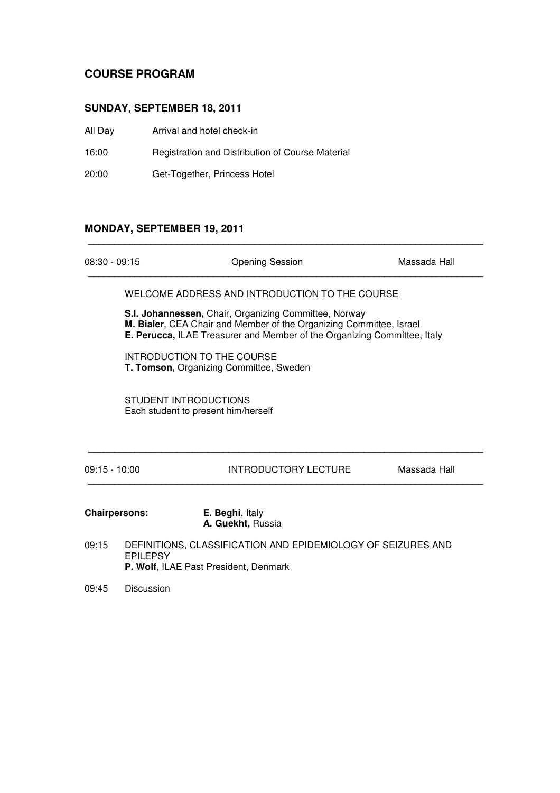## **COURSE PROGRAM**

### **SUNDAY, SEPTEMBER 18, 2011**

| All Day | Arrival and hotel check-in |
|---------|----------------------------|
|---------|----------------------------|

16:00 Registration and Distribution of Course Material

20:00 Get-Together, Princess Hotel

### **MONDAY, SEPTEMBER 19, 2011**

| <b>Opening Session</b><br>Massada Hall<br>$08:30 - 09:15$<br>WELCOME ADDRESS AND INTRODUCTION TO THE COURSE<br>S.I. Johannessen, Chair, Organizing Committee, Norway<br>M. Bialer, CEA Chair and Member of the Organizing Committee, Israel<br>E. Perucca, ILAE Treasurer and Member of the Organizing Committee, Italy<br>INTRODUCTION TO THE COURSE<br>T. Tomson, Organizing Committee, Sweden<br>STUDENT INTRODUCTIONS<br>Each student to present him/herself<br>$09:15 - 10:00$<br>INTRODUCTORY LECTURE<br>Massada Hall<br>E. Beghi, Italy<br><b>Chairpersons:</b><br>A. Guekht, Russia<br>DEFINITIONS, CLASSIFICATION AND EPIDEMIOLOGY OF SEIZURES AND<br>09:15<br><b>EPILEPSY</b><br>P. Wolf, ILAE Past President, Denmark |  |  |  |
|----------------------------------------------------------------------------------------------------------------------------------------------------------------------------------------------------------------------------------------------------------------------------------------------------------------------------------------------------------------------------------------------------------------------------------------------------------------------------------------------------------------------------------------------------------------------------------------------------------------------------------------------------------------------------------------------------------------------------------|--|--|--|
|                                                                                                                                                                                                                                                                                                                                                                                                                                                                                                                                                                                                                                                                                                                                  |  |  |  |
|                                                                                                                                                                                                                                                                                                                                                                                                                                                                                                                                                                                                                                                                                                                                  |  |  |  |
|                                                                                                                                                                                                                                                                                                                                                                                                                                                                                                                                                                                                                                                                                                                                  |  |  |  |
|                                                                                                                                                                                                                                                                                                                                                                                                                                                                                                                                                                                                                                                                                                                                  |  |  |  |
|                                                                                                                                                                                                                                                                                                                                                                                                                                                                                                                                                                                                                                                                                                                                  |  |  |  |
|                                                                                                                                                                                                                                                                                                                                                                                                                                                                                                                                                                                                                                                                                                                                  |  |  |  |
|                                                                                                                                                                                                                                                                                                                                                                                                                                                                                                                                                                                                                                                                                                                                  |  |  |  |
|                                                                                                                                                                                                                                                                                                                                                                                                                                                                                                                                                                                                                                                                                                                                  |  |  |  |

09:45 Discussion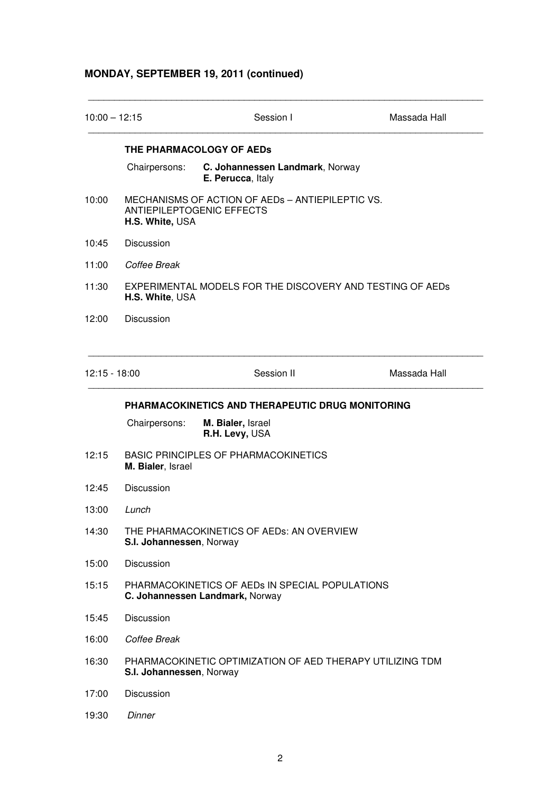# **MONDAY, SEPTEMBER 19, 2011 (continued)**

| $10:00 - 12:15$ |                                                                                                         | Session I                                            | Massada Hall |  |
|-----------------|---------------------------------------------------------------------------------------------------------|------------------------------------------------------|--------------|--|
|                 | THE PHARMACOLOGY OF AEDS                                                                                |                                                      |              |  |
|                 | Chairpersons:                                                                                           | C. Johannessen Landmark, Norway<br>E. Perucca, Italy |              |  |
| 10:00           | MECHANISMS OF ACTION OF AEDS - ANTIEPILEPTIC VS.<br><b>ANTIEPILEPTOGENIC EFFECTS</b><br>H.S. White, USA |                                                      |              |  |
| 10:45           | Discussion                                                                                              |                                                      |              |  |
| 11:00           | Coffee Break                                                                                            |                                                      |              |  |
| 11:30           | EXPERIMENTAL MODELS FOR THE DISCOVERY AND TESTING OF AEDS<br>H.S. White, USA                            |                                                      |              |  |
| 12:00           | Discussion                                                                                              |                                                      |              |  |
| $12:15 - 18:00$ |                                                                                                         | Session II                                           | Massada Hall |  |
|                 |                                                                                                         | PHARMACOKINETICS AND THERAPEUTIC DRUG MONITORING     |              |  |
|                 | Chairpersons:                                                                                           | M. Bialer, Israel<br>R.H. Levy, USA                  |              |  |
| 12:15           | <b>BASIC PRINCIPLES OF PHARMACOKINETICS</b><br>M. Bialer, Israel                                        |                                                      |              |  |
| 12:45           | <b>Discussion</b>                                                                                       |                                                      |              |  |
| 13:00           | Lunch                                                                                                   |                                                      |              |  |
| 14:30           | THE PHARMACOKINETICS OF AEDS: AN OVERVIEW<br>S.I. Johannessen, Norway                                   |                                                      |              |  |
| 15:00           | Discussion                                                                                              |                                                      |              |  |
| 15:15           | PHARMACOKINETICS OF AEDS IN SPECIAL POPULATIONS<br>C. Johannessen Landmark, Norway                      |                                                      |              |  |
| 15:45           | <b>Discussion</b>                                                                                       |                                                      |              |  |
| 16:00           | Coffee Break                                                                                            |                                                      |              |  |
| 16:30           | PHARMACOKINETIC OPTIMIZATION OF AED THERAPY UTILIZING TDM<br>S.I. Johannessen, Norway                   |                                                      |              |  |
| 17:00           | Discussion                                                                                              |                                                      |              |  |
| 19:30           | Dinner                                                                                                  |                                                      |              |  |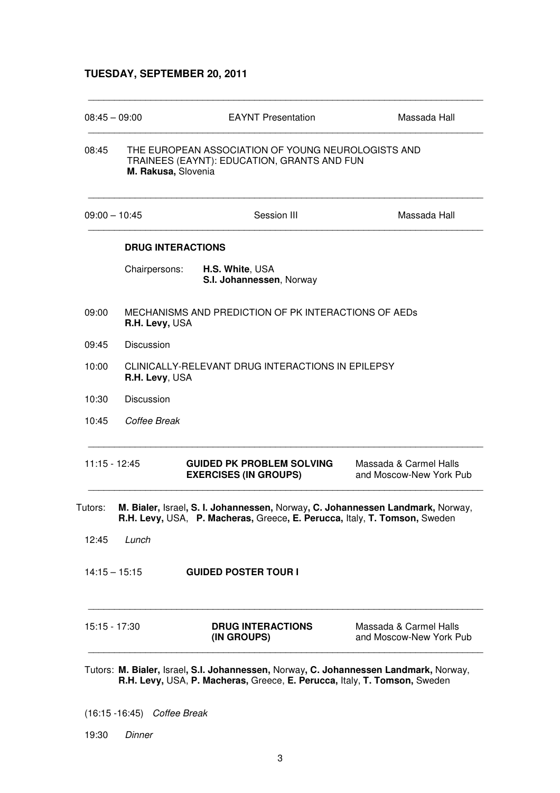### **TUESDAY, SEPTEMBER 20, 2011**

| $08:45 - 09:00$ |                                                                                                                          | <b>EAYNT Presentation</b>                                                                                                                                          | Massada Hall                                      |  |
|-----------------|--------------------------------------------------------------------------------------------------------------------------|--------------------------------------------------------------------------------------------------------------------------------------------------------------------|---------------------------------------------------|--|
| 08:45           | THE EUROPEAN ASSOCIATION OF YOUNG NEUROLOGISTS AND<br>TRAINEES (EAYNT): EDUCATION, GRANTS AND FUN<br>M. Rakusa, Slovenia |                                                                                                                                                                    |                                                   |  |
| $09:00 - 10:45$ |                                                                                                                          | Session III                                                                                                                                                        | Massada Hall                                      |  |
|                 |                                                                                                                          | <b>DRUG INTERACTIONS</b>                                                                                                                                           |                                                   |  |
|                 | Chairpersons:                                                                                                            | H.S. White, USA<br>S.I. Johannessen, Norway                                                                                                                        |                                                   |  |
| 09:00           | R.H. Levy, USA                                                                                                           | MECHANISMS AND PREDICTION OF PK INTERACTIONS OF AEDS                                                                                                               |                                                   |  |
| 09:45           | Discussion                                                                                                               |                                                                                                                                                                    |                                                   |  |
| 10:00           | R.H. Levy, USA                                                                                                           | CLINICALLY-RELEVANT DRUG INTERACTIONS IN EPILEPSY                                                                                                                  |                                                   |  |
| 10:30           | <b>Discussion</b>                                                                                                        |                                                                                                                                                                    |                                                   |  |
| 10:45           | Coffee Break                                                                                                             |                                                                                                                                                                    |                                                   |  |
| $11:15 - 12:45$ |                                                                                                                          | <b>GUIDED PK PROBLEM SOLVING</b><br><b>EXERCISES (IN GROUPS)</b>                                                                                                   | Massada & Carmel Halls<br>and Moscow-New York Pub |  |
| Tutors:         |                                                                                                                          | M. Bialer, Israel, S. I. Johannessen, Norway, C. Johannessen Landmark, Norway,<br><b>R.H. Levy, USA, P. Macheras, Greece, E. Perucca, Italy, T. Tomson, Sweden</b> |                                                   |  |
| 12:45           | Lunch                                                                                                                    |                                                                                                                                                                    |                                                   |  |
| $14:15 - 15:15$ |                                                                                                                          | <b>GUIDED POSTER TOUR I</b>                                                                                                                                        |                                                   |  |
| 15:15 - 17:30   |                                                                                                                          | <b>DRUG INTERACTIONS</b><br>(IN GROUPS)                                                                                                                            | Massada & Carmel Halls<br>and Moscow-New York Pub |  |

**R.H. Levy,** USA, **P. Macheras,** Greece, **E. Perucca,** Italy, **T. Tomson,** Sweden

(16:15 -16:45) Coffee Break

19:30 Dinner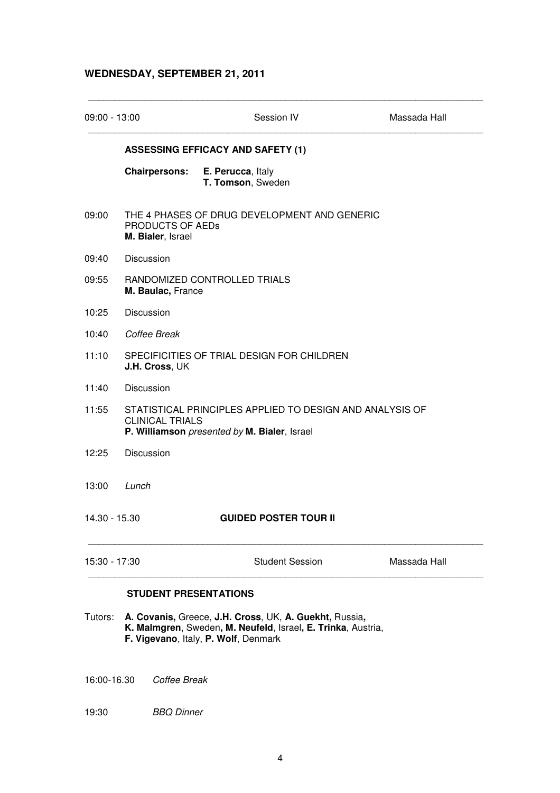### **WEDNESDAY, SEPTEMBER 21, 2011**

| 09:00 - 13:00 |                                                                                                                                    | Session IV                               | Massada Hall |
|---------------|------------------------------------------------------------------------------------------------------------------------------------|------------------------------------------|--------------|
|               |                                                                                                                                    | <b>ASSESSING EFFICACY AND SAFETY (1)</b> |              |
|               | <b>Chairpersons:</b>                                                                                                               | E. Perucca, Italy<br>T. Tomson, Sweden   |              |
| 09:00         | THE 4 PHASES OF DRUG DEVELOPMENT AND GENERIC<br><b>PRODUCTS OF AEDS</b><br>M. Bialer, Israel                                       |                                          |              |
| 09:40         | <b>Discussion</b>                                                                                                                  |                                          |              |
| 09:55         | RANDOMIZED CONTROLLED TRIALS<br>M. Baulac, France                                                                                  |                                          |              |
| 10:25         | Discussion                                                                                                                         |                                          |              |
| 10:40         | Coffee Break                                                                                                                       |                                          |              |
| 11:10         | SPECIFICITIES OF TRIAL DESIGN FOR CHILDREN<br>J.H. Cross, UK                                                                       |                                          |              |
| 11:40         | <b>Discussion</b>                                                                                                                  |                                          |              |
| 11:55         | STATISTICAL PRINCIPLES APPLIED TO DESIGN AND ANALYSIS OF<br><b>CLINICAL TRIALS</b><br>P. Williamson presented by M. Bialer, Israel |                                          |              |
| 12:25         | <b>Discussion</b>                                                                                                                  |                                          |              |
| 13:00         | Lunch                                                                                                                              |                                          |              |
| 14.30 - 15.30 |                                                                                                                                    | <b>GUIDED POSTER TOUR II</b>             |              |
| 15:30 - 17:30 |                                                                                                                                    | <b>Student Session</b>                   | Massada Hall |

#### **STUDENT PRESENTATIONS**

Tutors: **A. Covanis,** Greece, **J.H. Cross**, UK, **A. Guekht,** Russia**, K. Malmgren**, Sweden**, M. Neufeld**, Israel**, E. Trinka**, Austria,  **F. Vigevano**, Italy, **P. Wolf**, Denmark

16:00-16.30 Coffee Break

19:30 BBQ Dinner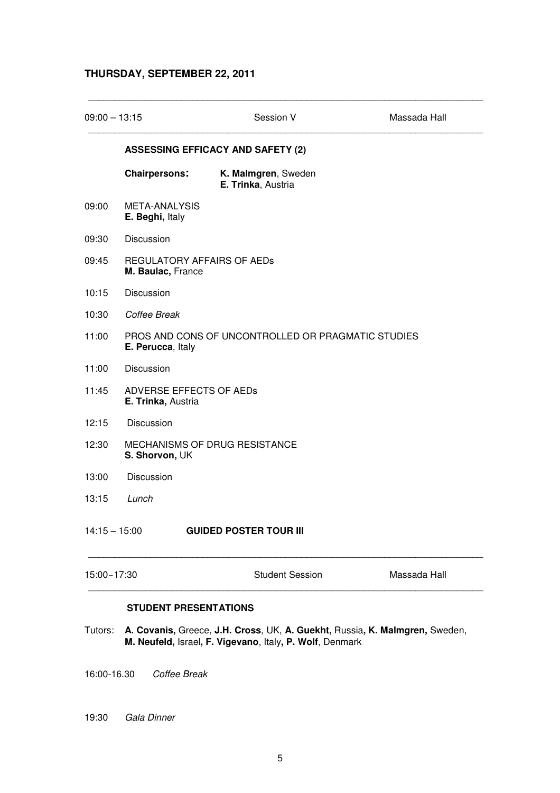### **THURSDAY, SEPTEMBER 22, 2011**

| $09:00 - 13:15$ |                                                        | Session V                                          | Massada Hall |
|-----------------|--------------------------------------------------------|----------------------------------------------------|--------------|
|                 |                                                        | <b>ASSESSING EFFICACY AND SAFETY (2)</b>           |              |
|                 | <b>Chairpersons:</b>                                   | K. Malmgren, Sweden<br>E. Trinka, Austria          |              |
| 09:00           | META-ANALYSIS<br>E. Beghi, Italy                       |                                                    |              |
| 09:30           | Discussion                                             |                                                    |              |
| 09:45           | <b>REGULATORY AFFAIRS OF AEDS</b><br>M. Baulac, France |                                                    |              |
| 10:15           | Discussion                                             |                                                    |              |
| 10:30           | Coffee Break                                           |                                                    |              |
| 11:00           | E. Perucca, Italy                                      | PROS AND CONS OF UNCONTROLLED OR PRAGMATIC STUDIES |              |
| 11:00           | Discussion                                             |                                                    |              |
| 11:45           | ADVERSE EFFECTS OF AEDs<br>E. Trinka, Austria          |                                                    |              |
| 12:15           | Discussion                                             |                                                    |              |
| 12:30           | S. Shorvon, UK                                         | MECHANISMS OF DRUG RESISTANCE                      |              |
| 13:00           | Discussion                                             |                                                    |              |
| 13:15           | Lunch                                                  |                                                    |              |
| $14:15 - 15:00$ |                                                        | <b>GUIDED POSTER TOUR III</b>                      |              |
| 15:00-17:30     |                                                        | <b>Student Session</b>                             | Massada Hall |

Tutors: **A. Covanis,** Greece, **J.H. Cross**, UK, **A. Guekht,** Russia**, K. Malmgren,** Sweden,  **M. Neufeld,** Israel**, F. Vigevano**, Italy**, P. Wolf**, Denmark

16:00-16.30 Coffee Break

#### 19:30 Gala Dinner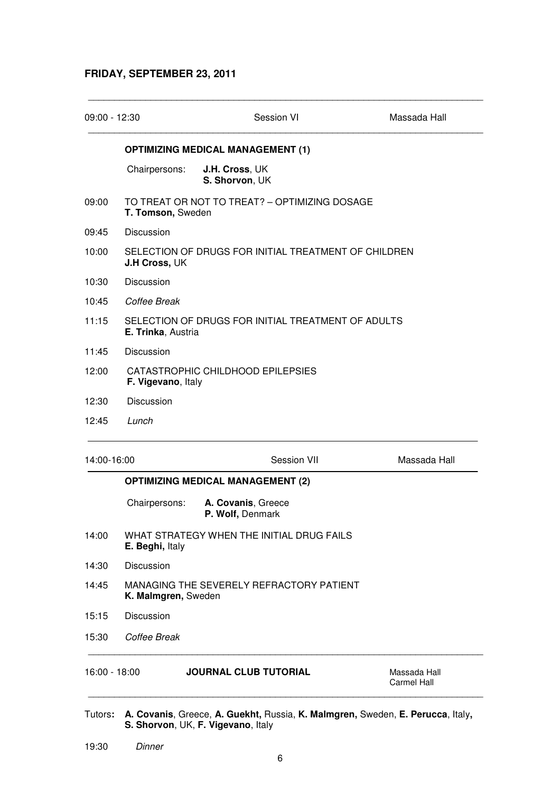### **FRIDAY, SEPTEMBER 23, 2011**

| $09:00 - 12:30$ |                                                                              | Session VI                                    | Massada Hall |
|-----------------|------------------------------------------------------------------------------|-----------------------------------------------|--------------|
|                 |                                                                              | <b>OPTIMIZING MEDICAL MANAGEMENT (1)</b>      |              |
|                 | Chairpersons:                                                                | J.H. Cross, UK<br>S. Shorvon, UK              |              |
| 09:00           | T. Tomson, Sweden                                                            | TO TREAT OR NOT TO TREAT? - OPTIMIZING DOSAGE |              |
| 09:45           | Discussion                                                                   |                                               |              |
| 10:00           | SELECTION OF DRUGS FOR INITIAL TREATMENT OF CHILDREN<br><b>J.H Cross, UK</b> |                                               |              |
| 10:30           | Discussion                                                                   |                                               |              |
| 10:45           | Coffee Break                                                                 |                                               |              |
| 11:15           | SELECTION OF DRUGS FOR INITIAL TREATMENT OF ADULTS<br>E. Trinka, Austria     |                                               |              |
| 11:45           | Discussion                                                                   |                                               |              |
| 12:00           | CATASTROPHIC CHILDHOOD EPILEPSIES<br>F. Vigevano, Italy                      |                                               |              |
|                 |                                                                              |                                               |              |
|                 | Discussion                                                                   |                                               |              |
| 12:30<br>12:45  | Lunch                                                                        |                                               |              |
| 14:00-16:00     |                                                                              | <b>Session VII</b>                            | Massada Hall |
|                 |                                                                              | <b>OPTIMIZING MEDICAL MANAGEMENT (2)</b>      |              |
|                 | Chairpersons:                                                                | A. Covanis, Greece<br>P. Wolf, Denmark        |              |
| 14:00           | E. Beghi, Italy                                                              | WHAT STRATEGY WHEN THE INITIAL DRUG FAILS     |              |
|                 | <b>Discussion</b>                                                            |                                               |              |
| 14:30<br>14:45  | K. Malmgren, Sweden                                                          | MANAGING THE SEVERELY REFRACTORY PATIENT      |              |
| 15:15           | Discussion                                                                   |                                               |              |

- Tutors**: A. Covanis**, Greece, **A. Guekht,** Russia, **K. Malmgren,** Sweden, **E. Perucca**, Italy**, S. Shorvon**, UK, **F. Vigevano**, Italy
- 19:30 Dinner